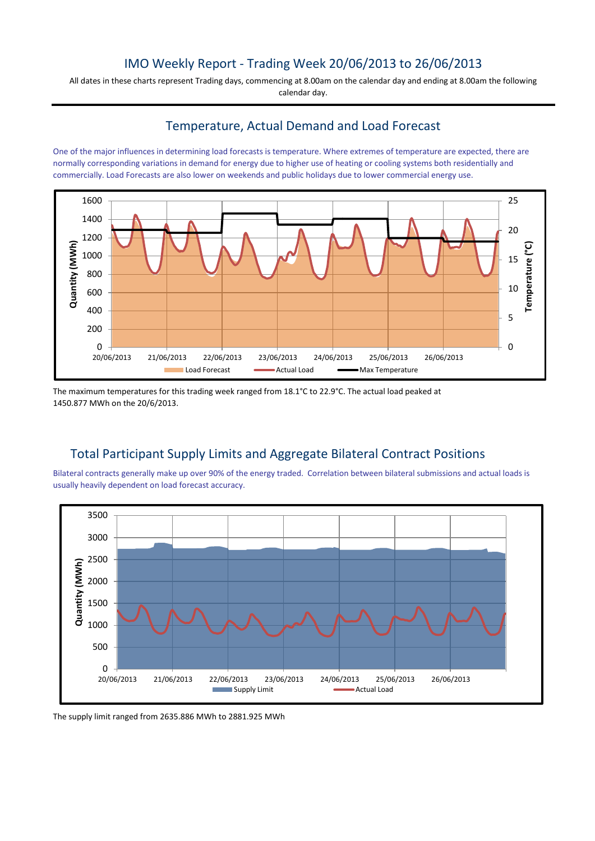## IMO Weekly Report - Trading Week 20/06/2013 to 26/06/2013

All dates in these charts represent Trading days, commencing at 8.00am on the calendar day and ending at 8.00am the following calendar day.

### Temperature, Actual Demand and Load Forecast

One of the major influences in determining load forecasts is temperature. Where extremes of temperature are expected, there are normally corresponding variations in demand for energy due to higher use of heating or cooling systems both residentially and commercially. Load Forecasts are also lower on weekends and public holidays due to lower commercial energy use.



The maximum temperatures for this trading week ranged from 18.1°C to 22.9°C. The actual load peaked at 1450.877 MWh on the 20/6/2013.

## Total Participant Supply Limits and Aggregate Bilateral Contract Positions

Bilateral contracts generally make up over 90% of the energy traded. Correlation between bilateral submissions and actual loads is usually heavily dependent on load forecast accuracy.



The supply limit ranged from 2635.886 MWh to 2881.925 MWh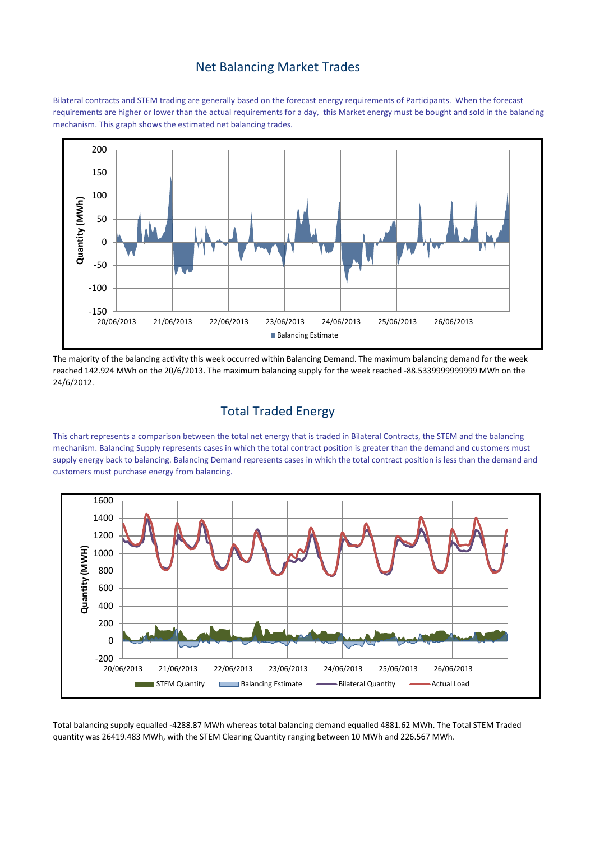#### Net Balancing Market Trades

Bilateral contracts and STEM trading are generally based on the forecast energy requirements of Participants. When the forecast requirements are higher or lower than the actual requirements for a day, this Market energy must be bought and sold in the balancing mechanism. This graph shows the estimated net balancing trades.



The majority of the balancing activity this week occurred within Balancing Demand. The maximum balancing demand for the week reached 142.924 MWh on the 20/6/2013. The maximum balancing supply for the week reached -88.5339999999999 MWh on the 24/6/2012.

# Total Traded Energy

This chart represents a comparison between the total net energy that is traded in Bilateral Contracts, the STEM and the balancing mechanism. Balancing Supply represents cases in which the total contract position is greater than the demand and customers must supply energy back to balancing. Balancing Demand represents cases in which the total contract position is less than the demand and customers must purchase energy from balancing.



Total balancing supply equalled -4288.87 MWh whereas total balancing demand equalled 4881.62 MWh. The Total STEM Traded quantity was 26419.483 MWh, with the STEM Clearing Quantity ranging between 10 MWh and 226.567 MWh.